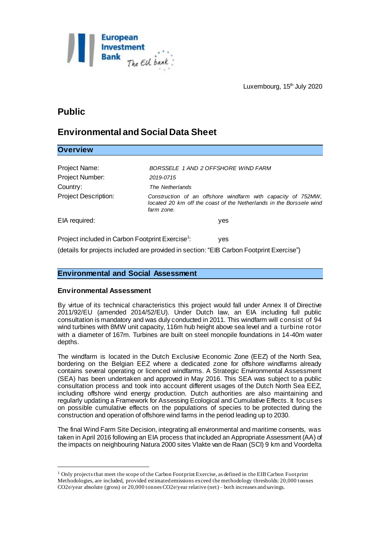

# **Public**

## **Environmental and Social Data Sheet**

## **Overview**

l

| Project Name:                                                       | BORSSELE 1 AND 2 OFFSHORE WIND FARM                                                                                                               |
|---------------------------------------------------------------------|---------------------------------------------------------------------------------------------------------------------------------------------------|
| Project Number:                                                     | 2019-0715                                                                                                                                         |
| Country:                                                            | The Netherlands                                                                                                                                   |
| <b>Project Description:</b>                                         | Construction of an offshore windfarm with capacity of 752MW,<br>located 20 km off the coast of the Netherlands in the Borssele wind<br>farm zone. |
| EIA required:                                                       | yes                                                                                                                                               |
| Project included in Carbon Footprint Exercise <sup>1</sup> :<br>ves |                                                                                                                                                   |

(details for projects included are provided in section: "EIB Carbon Footprint Exercise")

## **Environmental and Social Assessment**

#### **Environmental Assessment**

By virtue of its technical characteristics this project would fall under Annex II of Directive 2011/92/EU (amended 2014/52/EU). Under Dutch law, an EIA including full public consultation is mandatory and was duly conducted in 2011. This windfarm will consist of 94 wind turbines with 8MW unit capacity, 116m hub height above sea level and a turbine rotor with a diameter of 167m. Turbines are built on steel monopile foundations in 14-40m water depths.

The windfarm is located in the Dutch Exclusive Economic Zone (EEZ) of the North Sea, bordering on the Belgian EEZ where a dedicated zone for offshore windfarms already contains several operating or licenced windfarms. A Strategic Environmental Assessment (SEA) has been undertaken and approved in May 2016. This SEA was subject to a public consultation process and took into account different usages of the Dutch North Sea EEZ, including offshore wind energy production. Dutch authorities are also maintaining and regularly updating a Framework for Assessing Ecological and Cumulative Effects. It focuses on possible cumulative effects on the populations of species to be protected during the construction and operation of offshore wind farms in the period leading up to 2030.

The final Wind Farm Site Decision, integrating all environmental and maritime consents, was taken in April 2016 following an EIA process that included an Appropriate Assessment (AA) of the impacts on neighbouring Natura 2000 sites Vlakte van de Raan (SCI) 9 km and Voordelta

<sup>1</sup> Only projects that meet the scope of the Carbon Footprint Exercise, as defined in the EIB Carbon Footprint Methodologies, are included, provided estimated emissions exceed the methodology thresholds: 20,000 tonnes CO2e/year absolute (gross) or 20,000 tonnes CO2e/year relative (net) – both increases and savings.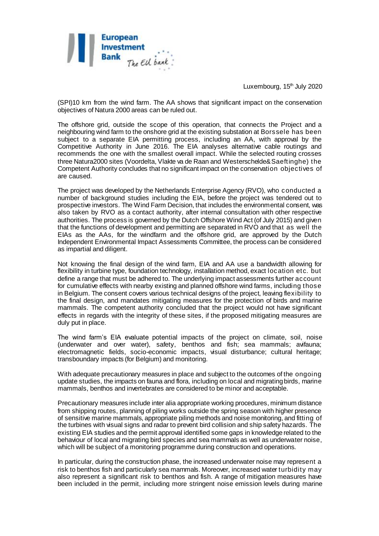

Luxembourg, 15<sup>th</sup> July 2020

(SPI)10 km from the wind farm. The AA shows that significant impact on the conservation objectives of Natura 2000 areas can be ruled out.

The offshore grid, outside the scope of this operation, that connects the Project and a neighbouring wind farm to the onshore grid at the existing substation at Borssele has been subject to a separate EIA permitting process, including an AA, with approval by the Competitive Authority in June 2016. The EIA analyses alternative cable routings and recommends the one with the smallest overall impact. While the selected routing crosses three Natura2000 sites (Voordelta, Vlakte va de Raan and Westerschelde&Saeftinghe) the Competent Authority concludes that no significant impact on the conservation objectives of are caused.

The project was developed by the Netherlands Enterprise Agency (RVO), who conducted a number of background studies including the EIA, before the project was tendered out to prospective investors. The Wind Farm Decision, that includes the environmental consent, was also taken by RVO as a contact authority, after internal consultation with other respective authorities. The process is governed by the Dutch Offshore Wind Act (of July 2015) and given that the functions of development and permitting are separated in RVO and that as well the EIAs as the AAs, for the windfarm and the offshore grid, are approved by the Dutch Independent Environmental Impact Assessments Committee, the process can be considered as impartial and diligent.

Not knowing the final design of the wind farm, EIA and AA use a bandwidth allowing for flexibility in turbine type, foundation technology, installation method, exact location etc. but define a range that must be adhered to. The underlying impact assessments further account for cumulative effects with nearby existing and planned offshore wind farms, including those in Belgium. The consent covers various technical designs of the project, leaving flexibility to the final design, and mandates mitigating measures for the protection of birds and marine mammals. The competent authority concluded that the project would not have significant effects in regards with the integrity of these sites, if the proposed mitigating measures are duly put in place.

The wind farm's EIA evaluate potential impacts of the project on climate, soil, noise (underwater and over water), safety, benthos and fish; sea mammals; avifauna; electromagnetic fields, socio-economic impacts, visual disturbance; cultural heritage; transboundary impacts (for Belgium) and monitoring.

With adequate precautionary measures in place and subject to the outcomes of the ongoing update studies, the impacts on fauna and flora, including on local and migrating birds, marine mammals, benthos and invertebrates are considered to be minor and acceptable.

Precautionary measures include inter alia appropriate working procedures, minimum distance from shipping routes, planning of piling works outside the spring season with higher presence of sensitive marine mammals, appropriate piling methods and noise monitoring, and fitting of the turbines with visual signs and radar to prevent bird collision and ship safety hazards. The existing EIA studies and the permit approval identified some gaps in knowledge related to the behaviour of local and migrating bird species and sea mammals as well as underwater noise, which will be subject of a monitoring programme during construction and operations.

In particular, during the construction phase, the increased underwater noise may represent a risk to benthos fish and particularly sea mammals. Moreover, increased water turbidity may also represent a significant risk to benthos and fish. A range of mitigation measures have been included in the permit, including more stringent noise emission levels during marine